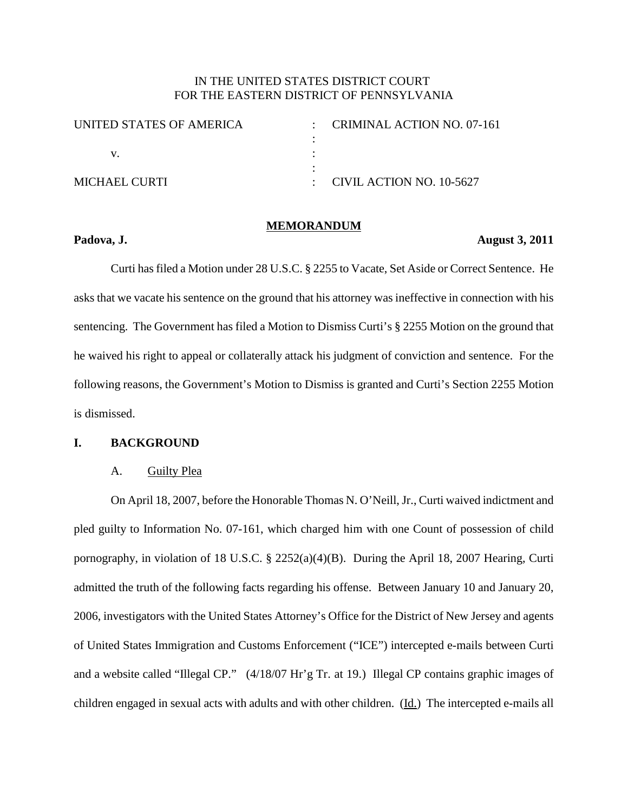# IN THE UNITED STATES DISTRICT COURT FOR THE EASTERN DISTRICT OF PENNSYLVANIA

| - CRIMINAL ACTION NO. 07-161 |
|------------------------------|
|                              |
|                              |
|                              |
| : CIVIL ACTION NO. $10-5627$ |
|                              |

#### **MEMORANDUM**

#### **Padova, J. August 3, 2011**

Curti hasfiled a Motion under 28 U.S.C. § 2255 to Vacate, Set Aside or Correct Sentence. He asks that we vacate his sentence on the ground that his attorney was ineffective in connection with his sentencing. The Government has filed a Motion to Dismiss Curti's § 2255 Motion on the ground that he waived his right to appeal or collaterally attack his judgment of conviction and sentence. For the following reasons, the Government's Motion to Dismiss is granted and Curti's Section 2255 Motion is dismissed.

## **I. BACKGROUND**

#### A. Guilty Plea

On April 18, 2007, before the Honorable Thomas N. O'Neill,Jr., Curti waived indictment and pled guilty to Information No. 07-161, which charged him with one Count of possession of child pornography, in violation of 18 U.S.C. § 2252(a)(4)(B). During the April 18, 2007 Hearing, Curti admitted the truth of the following facts regarding his offense. Between January 10 and January 20, 2006, investigators with the United States Attorney's Office for the District of New Jersey and agents of United States Immigration and Customs Enforcement ("ICE") intercepted e-mails between Curti and a website called "Illegal CP." (4/18/07 Hr'g Tr. at 19.) Illegal CP contains graphic images of children engaged in sexual acts with adults and with other children. (Id.) The intercepted e-mails all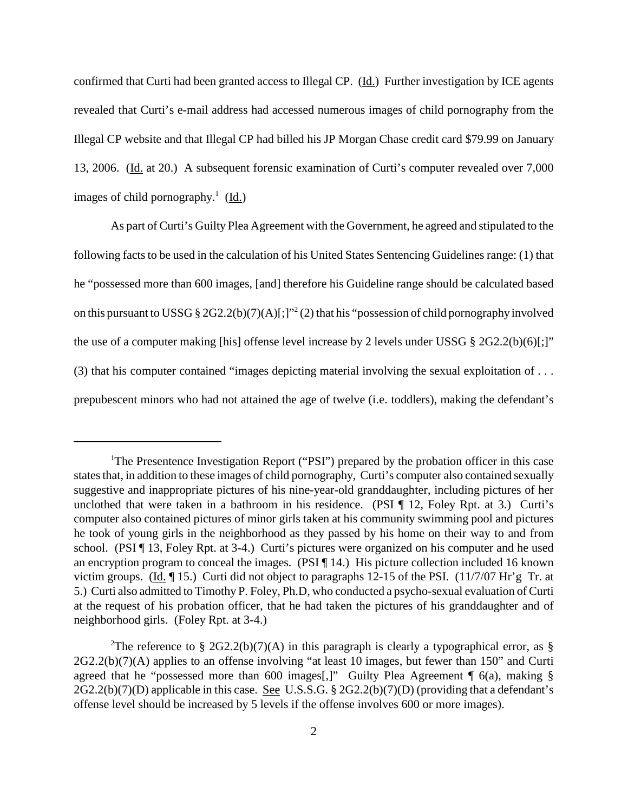confirmed that Curti had been granted access to Illegal CP. (Id.) Further investigation by ICE agents revealed that Curti's e-mail address had accessed numerous images of child pornography from the Illegal CP website and that Illegal CP had billed his JP Morgan Chase credit card \$79.99 on January 13, 2006. (Id. at 20.) A subsequent forensic examination of Curti's computer revealed over 7,000 images of child pornography.<sup>1</sup> (Id.)

As part of Curti's Guilty Plea Agreement with the Government, he agreed and stipulated to the following facts to be used in the calculation of his United States Sentencing Guidelines range: (1) that he "possessed more than 600 images, [and] therefore his Guideline range should be calculated based on this pursuant to USSG § 2G2.2(b)(7)(A)[;]"<sup>2</sup>(2) that his "possession of child pornography involved the use of a computer making [his] offense level increase by 2 levels under USSG § 2G2.2(b)(6)[;]" (3) that his computer contained "images depicting material involving the sexual exploitation of . . . prepubescent minors who had not attained the age of twelve (i.e. toddlers), making the defendant's

<sup>&</sup>lt;sup>1</sup>The Presentence Investigation Report ("PSI") prepared by the probation officer in this case statesthat, in addition to these images of child pornography, Curti's computer also contained sexually suggestive and inappropriate pictures of his nine-year-old granddaughter, including pictures of her unclothed that were taken in a bathroom in his residence. (PSI ¶ 12, Foley Rpt. at 3.) Curti's computer also contained pictures of minor girls taken at his community swimming pool and pictures he took of young girls in the neighborhood as they passed by his home on their way to and from school. (PSI ¶ 13, Foley Rpt. at 3-4.) Curti's pictures were organized on his computer and he used an encryption program to conceal the images. (PSI ¶ 14.) His picture collection included 16 known victim groups. (Id. ¶ 15.) Curti did not object to paragraphs 12-15 of the PSI. (11/7/07 Hr'g Tr. at 5.) Curti also admitted to Timothy P. Foley, Ph.D, who conducted a psycho-sexual evaluation of Curti at the request of his probation officer, that he had taken the pictures of his granddaughter and of neighborhood girls. (Foley Rpt. at 3-4.)

<sup>&</sup>lt;sup>2</sup>The reference to § 2G2.2(b)(7)(A) in this paragraph is clearly a typographical error, as § 2G2.2(b)(7)(A) applies to an offense involving "at least 10 images, but fewer than 150" and Curti agreed that he "possessed more than 600 images[,]" Guilty Plea Agreement ¶ 6(a), making § 2G2.2(b)(7)(D) applicable in this case. See U.S.S.G. § 2G2.2(b)(7)(D) (providing that a defendant's offense level should be increased by 5 levels if the offense involves 600 or more images).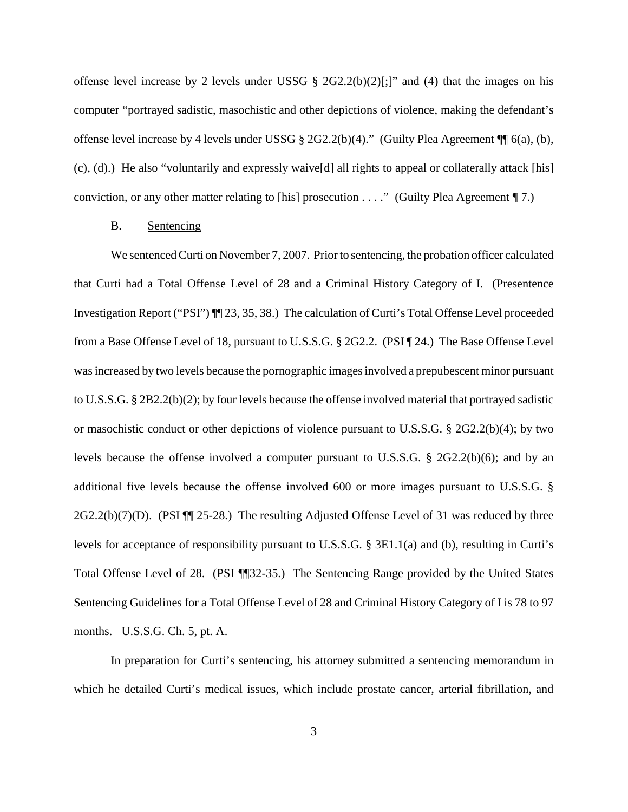offense level increase by 2 levels under USSG §  $2G2.2(b)(2)[:]"$  and (4) that the images on his computer "portrayed sadistic, masochistic and other depictions of violence, making the defendant's offense level increase by 4 levels under USSG § 2G2.2(b)(4)." (Guilty Plea Agreement ¶¶ 6(a), (b), (c), (d).) He also "voluntarily and expressly waive[d] all rights to appeal or collaterally attack [his] conviction, or any other matter relating to [his] prosecution . . . ." (Guilty Plea Agreement ¶ 7.)

### B. Sentencing

We sentenced Curti on November 7, 2007. Prior to sentencing, the probation officer calculated that Curti had a Total Offense Level of 28 and a Criminal History Category of I. (Presentence Investigation Report ("PSI") ¶¶ 23, 35, 38.) The calculation of Curti's Total Offense Level proceeded from a Base Offense Level of 18, pursuant to U.S.S.G. § 2G2.2. (PSI ¶ 24.) The Base Offense Level was increased by two levels because the pornographic images involved a prepubescent minor pursuant to U.S.S.G. § 2B2.2(b)(2); by four levels because the offense involved material that portrayed sadistic or masochistic conduct or other depictions of violence pursuant to U.S.S.G. § 2G2.2(b)(4); by two levels because the offense involved a computer pursuant to U.S.S.G. § 2G2.2(b)(6); and by an additional five levels because the offense involved 600 or more images pursuant to U.S.S.G. §  $2G2.2(b)(7)(D)$ . (PSI  $\P$   $\P$  25-28.) The resulting Adjusted Offense Level of 31 was reduced by three levels for acceptance of responsibility pursuant to U.S.S.G. § 3E1.1(a) and (b), resulting in Curti's Total Offense Level of 28. (PSI ¶¶32-35.) The Sentencing Range provided by the United States Sentencing Guidelines for a Total Offense Level of 28 and Criminal History Category of I is 78 to 97 months. U.S.S.G. Ch. 5, pt. A.

In preparation for Curti's sentencing, his attorney submitted a sentencing memorandum in which he detailed Curti's medical issues, which include prostate cancer, arterial fibrillation, and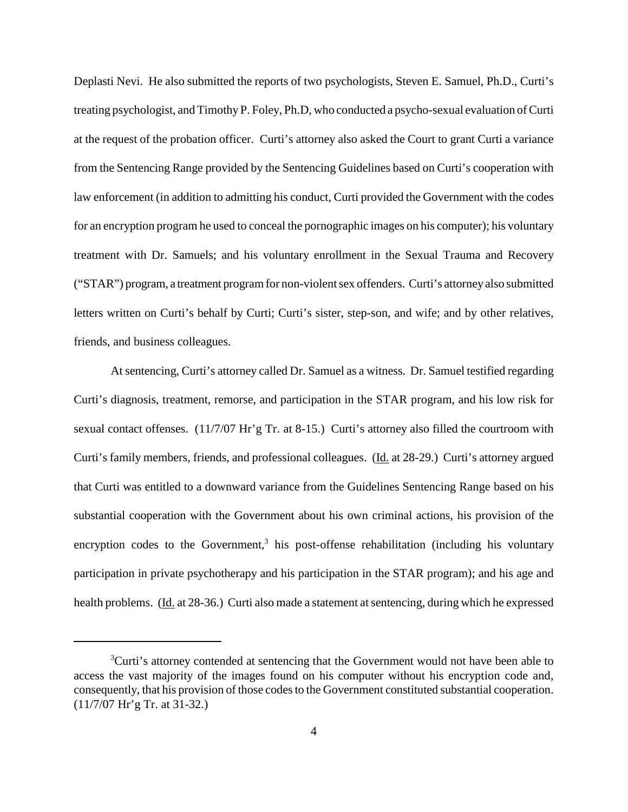Deplasti Nevi. He also submitted the reports of two psychologists, Steven E. Samuel, Ph.D., Curti's treating psychologist, and Timothy P. Foley, Ph.D, who conducted a psycho-sexual evaluation of Curti at the request of the probation officer. Curti's attorney also asked the Court to grant Curti a variance from the Sentencing Range provided by the Sentencing Guidelines based on Curti's cooperation with law enforcement (in addition to admitting his conduct, Curti provided the Government with the codes for an encryption program he used to conceal the pornographic images on his computer); his voluntary treatment with Dr. Samuels; and his voluntary enrollment in the Sexual Trauma and Recovery ("STAR") program, a treatment programfor non-violentsex offenders. Curti's attorney also submitted letters written on Curti's behalf by Curti; Curti's sister, step-son, and wife; and by other relatives, friends, and business colleagues.

Atsentencing, Curti's attorney called Dr. Samuel as a witness. Dr. Samuel testified regarding Curti's diagnosis, treatment, remorse, and participation in the STAR program, and his low risk for sexual contact offenses. (11/7/07 Hr'g Tr. at 8-15.) Curti's attorney also filled the courtroom with Curti's family members, friends, and professional colleagues. (Id. at 28-29.) Curti's attorney argued that Curti was entitled to a downward variance from the Guidelines Sentencing Range based on his substantial cooperation with the Government about his own criminal actions, his provision of the encryption codes to the Government,<sup>3</sup> his post-offense rehabilitation (including his voluntary participation in private psychotherapy and his participation in the STAR program); and his age and health problems. (Id. at 28-36.) Curti also made a statement at sentencing, during which he expressed

<sup>&</sup>lt;sup>3</sup>Curti's attorney contended at sentencing that the Government would not have been able to access the vast majority of the images found on his computer without his encryption code and, consequently, that his provision of those codes to the Government constituted substantial cooperation. (11/7/07 Hr'g Tr. at 31-32.)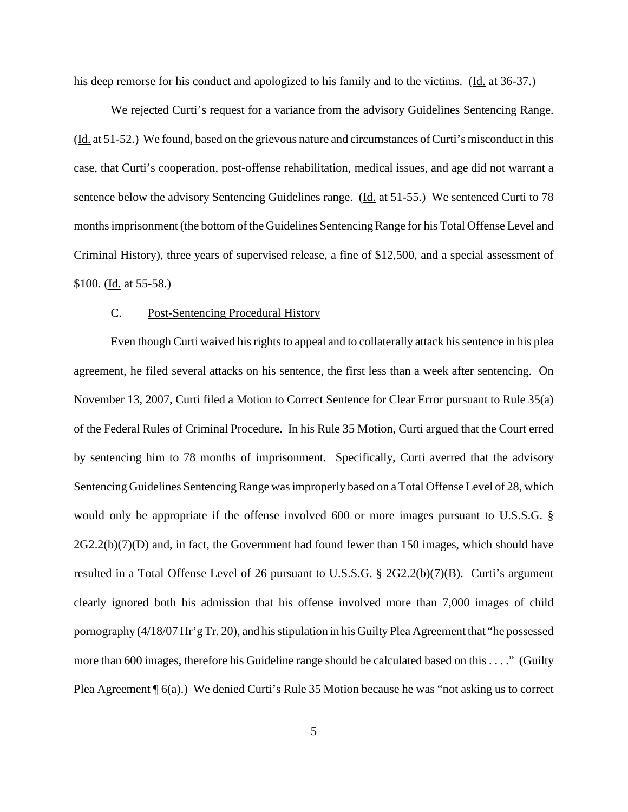his deep remorse for his conduct and apologized to his family and to the victims. (Id. at 36-37.)

We rejected Curti's request for a variance from the advisory Guidelines Sentencing Range. (Id. at 51-52.) We found, based on the grievous nature and circumstances of Curti's misconduct in this case, that Curti's cooperation, post-offense rehabilitation, medical issues, and age did not warrant a sentence below the advisory Sentencing Guidelines range. (Id. at 51-55.) We sentenced Curti to 78 months imprisonment (the bottom of the Guidelines Sentencing Range for his Total Offense Level and Criminal History), three years of supervised release, a fine of \$12,500, and a special assessment of \$100. ( $\underline{Id}$ , at 55-58.)

## C. Post-Sentencing Procedural History

Even though Curti waived his rights to appeal and to collaterally attack his sentence in his plea agreement, he filed several attacks on his sentence, the first less than a week after sentencing. On November 13, 2007, Curti filed a Motion to Correct Sentence for Clear Error pursuant to Rule 35(a) of the Federal Rules of Criminal Procedure. In his Rule 35 Motion, Curti argued that the Court erred by sentencing him to 78 months of imprisonment. Specifically, Curti averred that the advisory Sentencing Guidelines Sentencing Range was improperly based on a Total Offense Level of 28, which would only be appropriate if the offense involved 600 or more images pursuant to U.S.S.G. §  $2G2.2(b)(7)(D)$  and, in fact, the Government had found fewer than 150 images, which should have resulted in a Total Offense Level of 26 pursuant to U.S.S.G. § 2G2.2(b)(7)(B). Curti's argument clearly ignored both his admission that his offense involved more than 7,000 images of child pornography (4/18/07 Hr'gTr. 20), and hisstipulation in his Guilty Plea Agreement that "he possessed more than 600 images, therefore his Guideline range should be calculated based on this . . . ." (Guilty Plea Agreement  $\P_6(a)$ .) We denied Curti's Rule 35 Motion because he was "not asking us to correct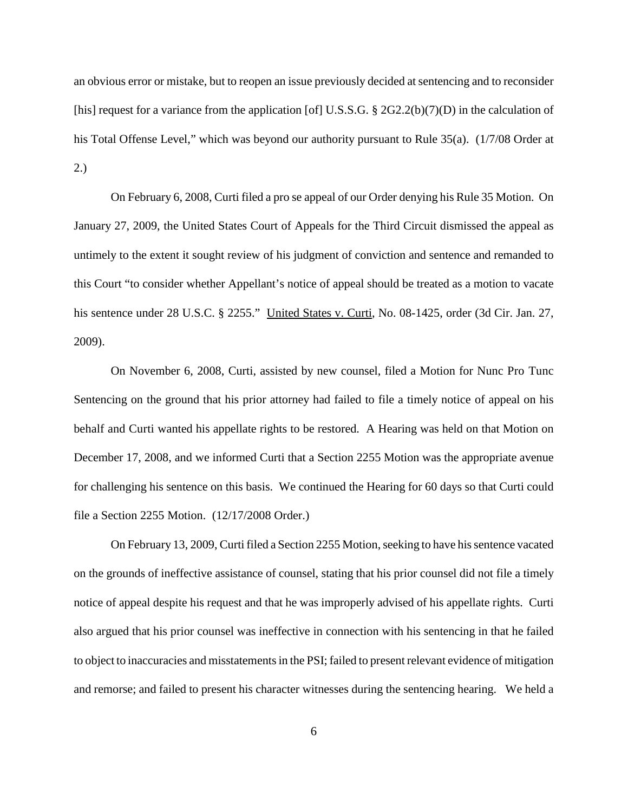an obvious error or mistake, but to reopen an issue previously decided at sentencing and to reconsider [his] request for a variance from the application [of] U.S.S.G. § 2G2.2(b)(7)(D) in the calculation of his Total Offense Level," which was beyond our authority pursuant to Rule 35(a). (1/7/08 Order at 2.)

On February 6, 2008, Curti filed a pro se appeal of our Order denying his Rule 35 Motion. On January 27, 2009, the United States Court of Appeals for the Third Circuit dismissed the appeal as untimely to the extent it sought review of his judgment of conviction and sentence and remanded to this Court "to consider whether Appellant's notice of appeal should be treated as a motion to vacate his sentence under 28 U.S.C. § 2255." United States v. Curti, No. 08-1425, order (3d Cir. Jan. 27, 2009).

On November 6, 2008, Curti, assisted by new counsel, filed a Motion for Nunc Pro Tunc Sentencing on the ground that his prior attorney had failed to file a timely notice of appeal on his behalf and Curti wanted his appellate rights to be restored. A Hearing was held on that Motion on December 17, 2008, and we informed Curti that a Section 2255 Motion was the appropriate avenue for challenging his sentence on this basis. We continued the Hearing for 60 days so that Curti could file a Section 2255 Motion. (12/17/2008 Order.)

On February 13, 2009, Curti filed a Section 2255 Motion, seeking to have his sentence vacated on the grounds of ineffective assistance of counsel, stating that his prior counsel did not file a timely notice of appeal despite his request and that he was improperly advised of his appellate rights. Curti also argued that his prior counsel was ineffective in connection with his sentencing in that he failed to object to inaccuracies and misstatements in the PSI; failed to present relevant evidence of mitigation and remorse; and failed to present his character witnesses during the sentencing hearing. We held a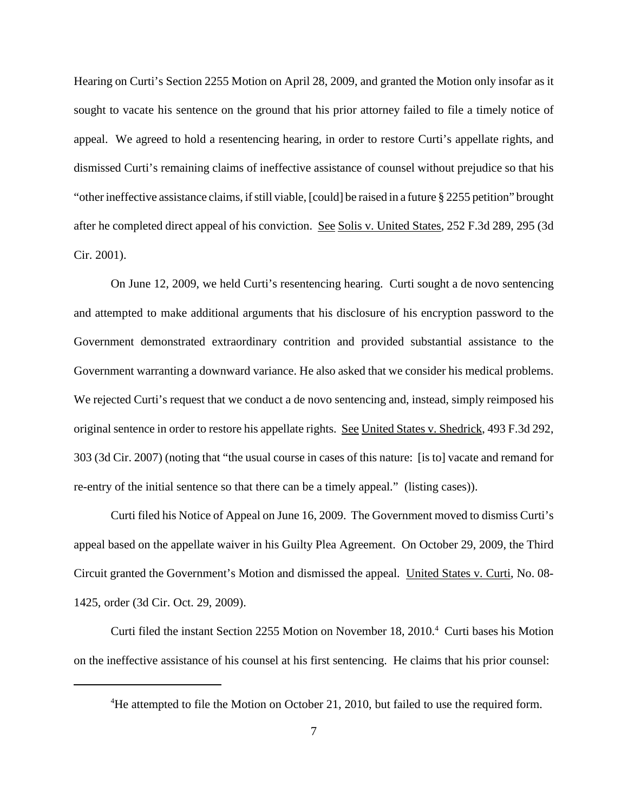Hearing on Curti's Section 2255 Motion on April 28, 2009, and granted the Motion only insofar as it sought to vacate his sentence on the ground that his prior attorney failed to file a timely notice of appeal. We agreed to hold a resentencing hearing, in order to restore Curti's appellate rights, and dismissed Curti's remaining claims of ineffective assistance of counsel without prejudice so that his "other ineffective assistance claims, ifstill viable, [could] be raised in a future § 2255 petition" brought after he completed direct appeal of his conviction. See Solis v. United States, 252 F.3d 289, 295 (3d Cir. 2001).

On June 12, 2009, we held Curti's resentencing hearing. Curti sought a de novo sentencing and attempted to make additional arguments that his disclosure of his encryption password to the Government demonstrated extraordinary contrition and provided substantial assistance to the Government warranting a downward variance. He also asked that we consider his medical problems. We rejected Curti's request that we conduct a de novo sentencing and, instead, simply reimposed his original sentence in order to restore his appellate rights. See United States v. Shedrick, 493 F.3d 292, 303 (3d Cir. 2007) (noting that "the usual course in cases of this nature: [is to] vacate and remand for re-entry of the initial sentence so that there can be a timely appeal." (listing cases)).

Curti filed his Notice of Appeal on June 16, 2009. The Government moved to dismiss Curti's appeal based on the appellate waiver in his Guilty Plea Agreement. On October 29, 2009, the Third Circuit granted the Government's Motion and dismissed the appeal. United States v. Curti, No. 08- 1425, order (3d Cir. Oct. 29, 2009).

Curti filed the instant Section 2255 Motion on November 18, 2010. <sup>4</sup> Curti bases his Motion on the ineffective assistance of his counsel at his first sentencing. He claims that his prior counsel:

<sup>&</sup>lt;sup>4</sup>He attempted to file the Motion on October 21, 2010, but failed to use the required form.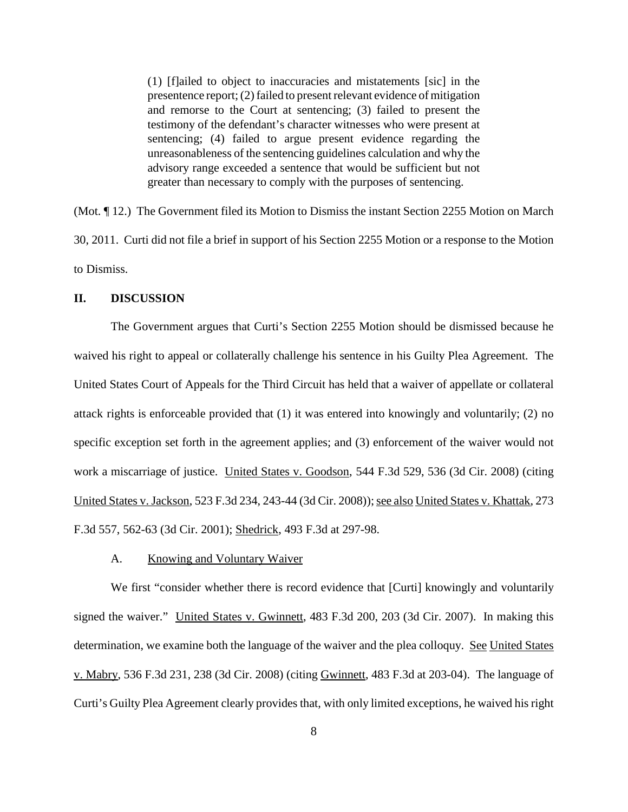(1) [f]ailed to object to inaccuracies and mistatements [sic] in the presentence report;(2) failed to presentrelevant evidence of mitigation and remorse to the Court at sentencing; (3) failed to present the testimony of the defendant's character witnesses who were present at sentencing; (4) failed to argue present evidence regarding the unreasonableness of the sentencing guidelines calculation and why the advisory range exceeded a sentence that would be sufficient but not greater than necessary to comply with the purposes of sentencing.

(Mot. ¶ 12.) The Government filed its Motion to Dismiss the instant Section 2255 Motion on March 30, 2011. Curti did not file a brief in support of his Section 2255 Motion or a response to the Motion to Dismiss.

## **II. DISCUSSION**

The Government argues that Curti's Section 2255 Motion should be dismissed because he waived his right to appeal or collaterally challenge his sentence in his Guilty Plea Agreement. The United States Court of Appeals for the Third Circuit has held that a waiver of appellate or collateral attack rights is enforceable provided that (1) it was entered into knowingly and voluntarily; (2) no specific exception set forth in the agreement applies; and (3) enforcement of the waiver would not work a miscarriage of justice. United States v. Goodson, 544 F.3d 529, 536 (3d Cir. 2008) (citing United States v. Jackson, 523 F.3d 234, 243-44 (3d Cir. 2008)); see also United States v. Khattak, 273 F.3d 557, 562-63 (3d Cir. 2001); Shedrick, 493 F.3d at 297-98.

## A. Knowing and Voluntary Waiver

We first "consider whether there is record evidence that [Curti] knowingly and voluntarily signed the waiver." United States v. Gwinnett, 483 F.3d 200, 203 (3d Cir. 2007). In making this determination, we examine both the language of the waiver and the plea colloquy. See United States v. Mabry, 536 F.3d 231, 238 (3d Cir. 2008) (citing Gwinnett, 483 F.3d at 203-04). The language of Curti's Guilty Plea Agreement clearly provides that, with only limited exceptions, he waived hisright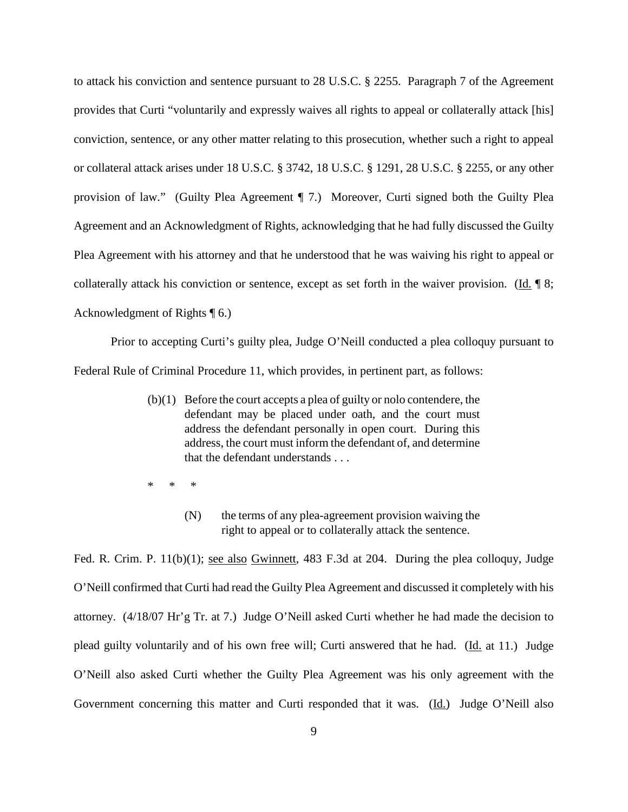to attack his conviction and sentence pursuant to 28 U.S.C. § 2255. Paragraph 7 of the Agreement provides that Curti "voluntarily and expressly waives all rights to appeal or collaterally attack [his] conviction, sentence, or any other matter relating to this prosecution, whether such a right to appeal or collateral attack arises under 18 U.S.C. § 3742, 18 U.S.C. § 1291, 28 U.S.C. § 2255, or any other provision of law." (Guilty Plea Agreement ¶ 7.) Moreover, Curti signed both the Guilty Plea Agreement and an Acknowledgment of Rights, acknowledging that he had fully discussed the Guilty Plea Agreement with his attorney and that he understood that he was waiving his right to appeal or collaterally attack his conviction or sentence, except as set forth in the waiver provision. (Id. ¶ 8; Acknowledgment of Rights ¶ 6.)

Prior to accepting Curti's guilty plea, Judge O'Neill conducted a plea colloquy pursuant to Federal Rule of Criminal Procedure 11, which provides, in pertinent part, as follows:

- (b)(1) Before the court accepts a plea of guilty or nolo contendere, the defendant may be placed under oath, and the court must address the defendant personally in open court. During this address, the court must inform the defendant of, and determine that the defendant understands . . .
- \* \* \*
	- (N) the terms of any plea-agreement provision waiving the right to appeal or to collaterally attack the sentence.

Fed. R. Crim. P. 11(b)(1); see also Gwinnett, 483 F.3d at 204. During the plea colloquy, Judge O'Neill confirmed that Curti had read the Guilty Plea Agreement and discussed it completely with his attorney. (4/18/07 Hr'g Tr. at 7.) Judge O'Neill asked Curti whether he had made the decision to plead guilty voluntarily and of his own free will; Curti answered that he had. (Id. at 11.) Judge O'Neill also asked Curti whether the Guilty Plea Agreement was his only agreement with the Government concerning this matter and Curti responded that it was. (Id.) Judge O'Neill also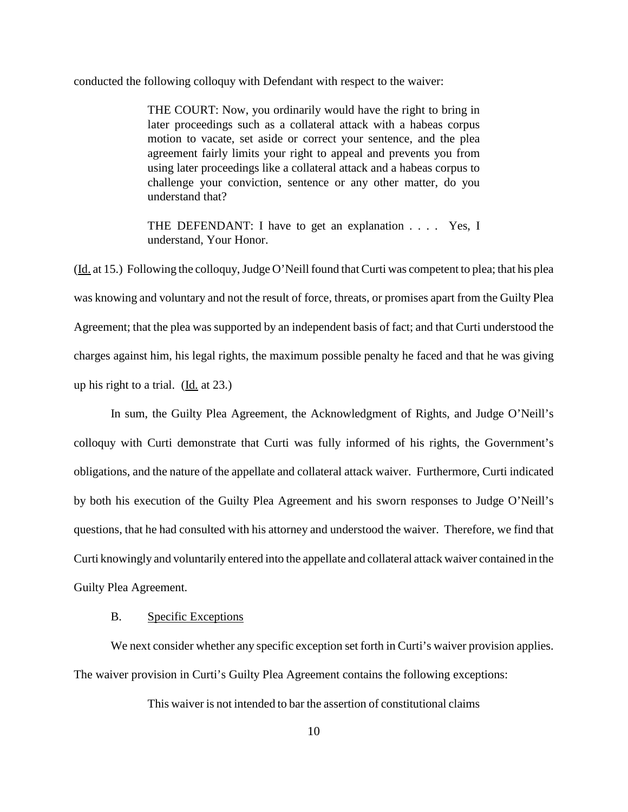conducted the following colloquy with Defendant with respect to the waiver:

THE COURT: Now, you ordinarily would have the right to bring in later proceedings such as a collateral attack with a habeas corpus motion to vacate, set aside or correct your sentence, and the plea agreement fairly limits your right to appeal and prevents you from using later proceedings like a collateral attack and a habeas corpus to challenge your conviction, sentence or any other matter, do you understand that?

THE DEFENDANT: I have to get an explanation . . . . Yes, I understand, Your Honor.

(Id. at 15.) Following the colloquy,Judge O'Neill found that Curti was competent to plea; that his plea was knowing and voluntary and not the result of force, threats, or promises apart from the Guilty Plea Agreement; that the plea was supported by an independent basis of fact; and that Curti understood the charges against him, his legal rights, the maximum possible penalty he faced and that he was giving up his right to a trial.  $(\underline{Id}$  at 23.)

In sum, the Guilty Plea Agreement, the Acknowledgment of Rights, and Judge O'Neill's colloquy with Curti demonstrate that Curti was fully informed of his rights, the Government's obligations, and the nature of the appellate and collateral attack waiver. Furthermore, Curti indicated by both his execution of the Guilty Plea Agreement and his sworn responses to Judge O'Neill's questions, that he had consulted with his attorney and understood the waiver. Therefore, we find that Curti knowingly and voluntarily entered into the appellate and collateral attack waiver contained in the Guilty Plea Agreement.

## B. Specific Exceptions

We next consider whether any specific exception set forth in Curti's waiver provision applies. The waiver provision in Curti's Guilty Plea Agreement contains the following exceptions:

This waiver is not intended to bar the assertion of constitutional claims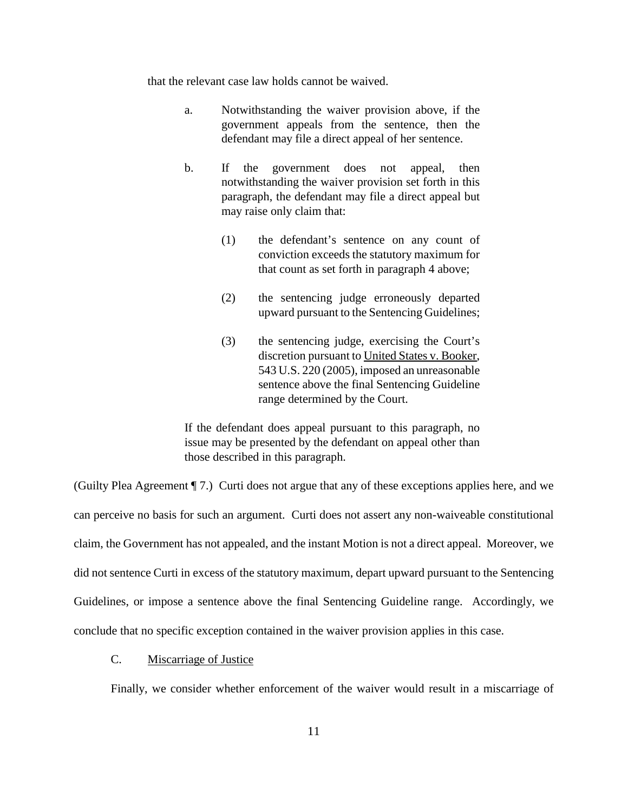that the relevant case law holds cannot be waived.

- a. Notwithstanding the waiver provision above, if the government appeals from the sentence, then the defendant may file a direct appeal of her sentence.
- b. If the government does not appeal, then notwithstanding the waiver provision set forth in this paragraph, the defendant may file a direct appeal but may raise only claim that:
	- (1) the defendant's sentence on any count of conviction exceeds the statutory maximum for that count as set forth in paragraph 4 above;
	- (2) the sentencing judge erroneously departed upward pursuant to the Sentencing Guidelines;
	- (3) the sentencing judge, exercising the Court's discretion pursuant to United States v. Booker, 543 U.S. 220 (2005), imposed an unreasonable sentence above the final Sentencing Guideline range determined by the Court.

If the defendant does appeal pursuant to this paragraph, no issue may be presented by the defendant on appeal other than those described in this paragraph.

(Guilty Plea Agreement ¶ 7.) Curti does not argue that any of these exceptions applies here, and we can perceive no basis for such an argument. Curti does not assert any non-waiveable constitutional claim, the Government has not appealed, and the instant Motion is not a direct appeal. Moreover, we did not sentence Curti in excess of the statutory maximum, depart upward pursuant to the Sentencing Guidelines, or impose a sentence above the final Sentencing Guideline range. Accordingly, we conclude that no specific exception contained in the waiver provision applies in this case.

## C. Miscarriage of Justice

Finally, we consider whether enforcement of the waiver would result in a miscarriage of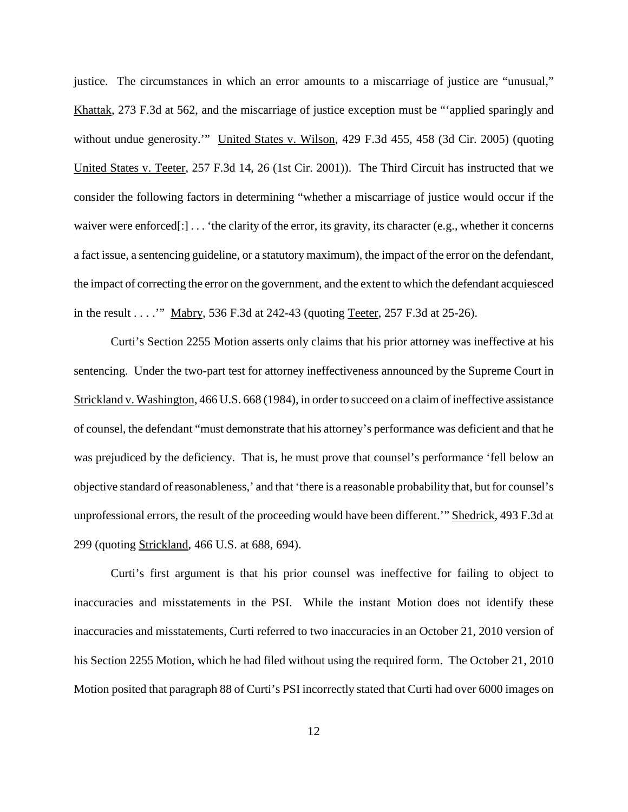justice. The circumstances in which an error amounts to a miscarriage of justice are "unusual," Khattak, 273 F.3d at 562, and the miscarriage of justice exception must be "'applied sparingly and without undue generosity." United States v. Wilson, 429 F.3d 455, 458 (3d Cir. 2005) (quoting United States v. Teeter, 257 F.3d 14, 26 (1st Cir. 2001)). The Third Circuit has instructed that we consider the following factors in determining "whether a miscarriage of justice would occur if the waiver were enforced[:]... 'the clarity of the error, its gravity, its character (e.g., whether it concerns a fact issue, a sentencing guideline, or a statutory maximum), the impact of the error on the defendant, the impact of correcting the error on the government, and the extent to which the defendant acquiesced in the result . . . .'" Mabry, 536 F.3d at 242-43 (quoting Teeter, 257 F.3d at 25-26).

Curti's Section 2255 Motion asserts only claims that his prior attorney was ineffective at his sentencing. Under the two-part test for attorney ineffectiveness announced by the Supreme Court in Strickland v. Washington, 466 U.S. 668 (1984), in order to succeed on a claim of ineffective assistance of counsel, the defendant "must demonstrate that his attorney's performance was deficient and that he was prejudiced by the deficiency. That is, he must prove that counsel's performance 'fell below an objective standard of reasonableness,' and that 'there is a reasonable probability that, but for counsel's unprofessional errors, the result of the proceeding would have been different.'" Shedrick, 493 F.3d at 299 (quoting Strickland, 466 U.S. at 688, 694).

Curti's first argument is that his prior counsel was ineffective for failing to object to inaccuracies and misstatements in the PSI. While the instant Motion does not identify these inaccuracies and misstatements, Curti referred to two inaccuracies in an October 21, 2010 version of his Section 2255 Motion, which he had filed without using the required form. The October 21, 2010 Motion posited that paragraph 88 of Curti's PSI incorrectly stated that Curti had over 6000 images on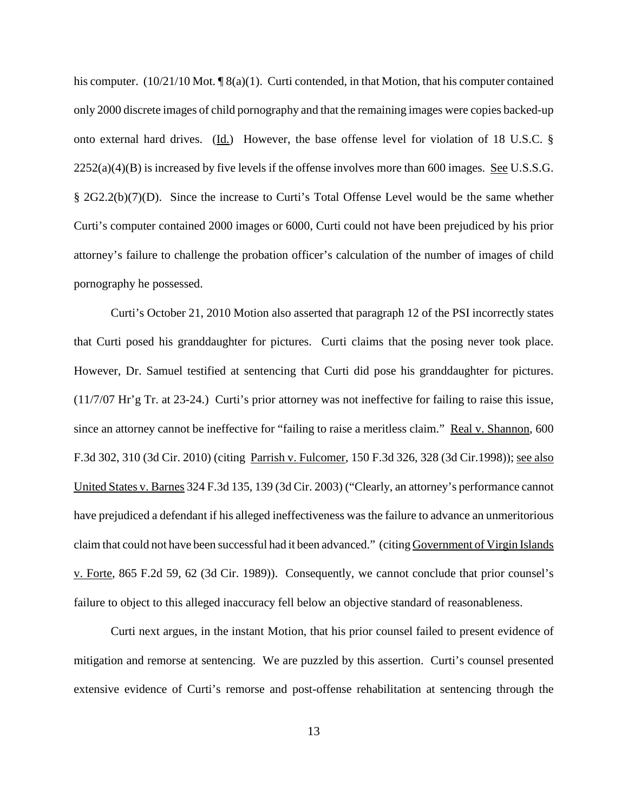his computer.  $(10/21/10 \text{ Mot.} \P 8(a)(1)$ . Curti contended, in that Motion, that his computer contained only 2000 discrete images of child pornography and that the remaining images were copies backed-up onto external hard drives. (Id.) However, the base offense level for violation of 18 U.S.C. §  $2252(a)(4)(B)$  is increased by five levels if the offense involves more than 600 images. See U.S.S.G. § 2G2.2(b)(7)(D). Since the increase to Curti's Total Offense Level would be the same whether Curti's computer contained 2000 images or 6000, Curti could not have been prejudiced by his prior attorney's failure to challenge the probation officer's calculation of the number of images of child pornography he possessed.

Curti's October 21, 2010 Motion also asserted that paragraph 12 of the PSI incorrectly states that Curti posed his granddaughter for pictures. Curti claims that the posing never took place. However, Dr. Samuel testified at sentencing that Curti did pose his granddaughter for pictures. (11/7/07 Hr'g Tr. at 23-24.) Curti's prior attorney was not ineffective for failing to raise this issue, since an attorney cannot be ineffective for "failing to raise a meritless claim." Real v. Shannon, 600 F.3d 302, 310 (3d Cir. 2010) (citing Parrish v. Fulcomer, 150 F.3d 326, 328 (3d Cir.1998)); see also United States v. Barnes 324 F.3d 135, 139 (3d Cir. 2003) ("Clearly, an attorney's performance cannot have prejudiced a defendant if his alleged ineffectiveness was the failure to advance an unmeritorious claim that could not have been successful had it been advanced." (citing Government of Virgin Islands v. Forte, 865 F.2d 59, 62 (3d Cir. 1989)). Consequently, we cannot conclude that prior counsel's failure to object to this alleged inaccuracy fell below an objective standard of reasonableness.

Curti next argues, in the instant Motion, that his prior counsel failed to present evidence of mitigation and remorse at sentencing. We are puzzled by this assertion. Curti's counsel presented extensive evidence of Curti's remorse and post-offense rehabilitation at sentencing through the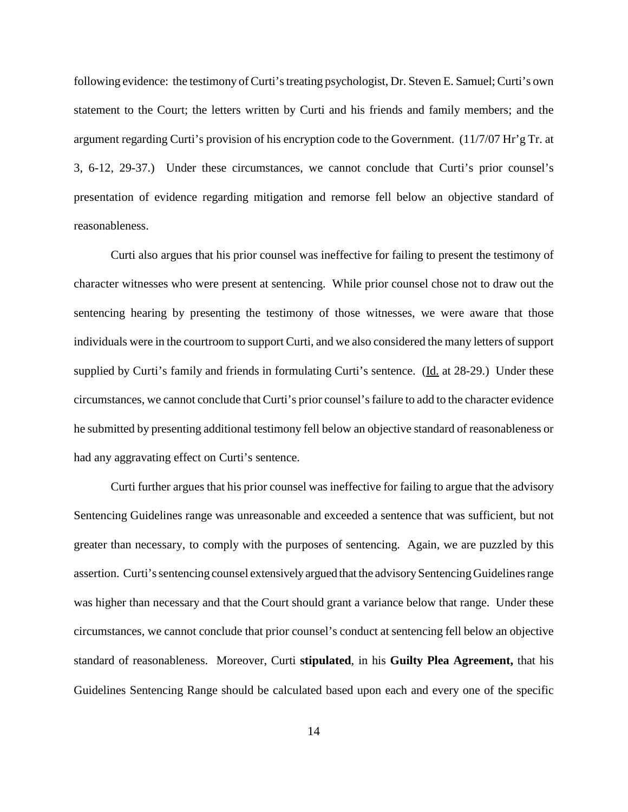following evidence: the testimony of Curti's treating psychologist, Dr. Steven E. Samuel; Curti's own statement to the Court; the letters written by Curti and his friends and family members; and the argument regarding Curti's provision of his encryption code to the Government. (11/7/07 Hr'g Tr. at 3, 6-12, 29-37.) Under these circumstances, we cannot conclude that Curti's prior counsel's presentation of evidence regarding mitigation and remorse fell below an objective standard of reasonableness.

Curti also argues that his prior counsel was ineffective for failing to present the testimony of character witnesses who were present at sentencing. While prior counsel chose not to draw out the sentencing hearing by presenting the testimony of those witnesses, we were aware that those individuals were in the courtroom to support Curti, and we also considered the many letters of support supplied by Curti's family and friends in formulating Curti's sentence. (Id. at 28-29.) Under these circumstances, we cannot conclude that Curti's prior counsel'sfailure to add to the character evidence he submitted by presenting additional testimony fell below an objective standard of reasonableness or had any aggravating effect on Curti's sentence.

Curti further argues that his prior counsel was ineffective for failing to argue that the advisory Sentencing Guidelines range was unreasonable and exceeded a sentence that was sufficient, but not greater than necessary, to comply with the purposes of sentencing. Again, we are puzzled by this assertion. Curti's sentencing counsel extensively argued that the advisory Sentencing Guidelines range was higher than necessary and that the Court should grant a variance below that range. Under these circumstances, we cannot conclude that prior counsel's conduct at sentencing fell below an objective standard of reasonableness. Moreover, Curti **stipulated**, in his **Guilty Plea Agreement,** that his Guidelines Sentencing Range should be calculated based upon each and every one of the specific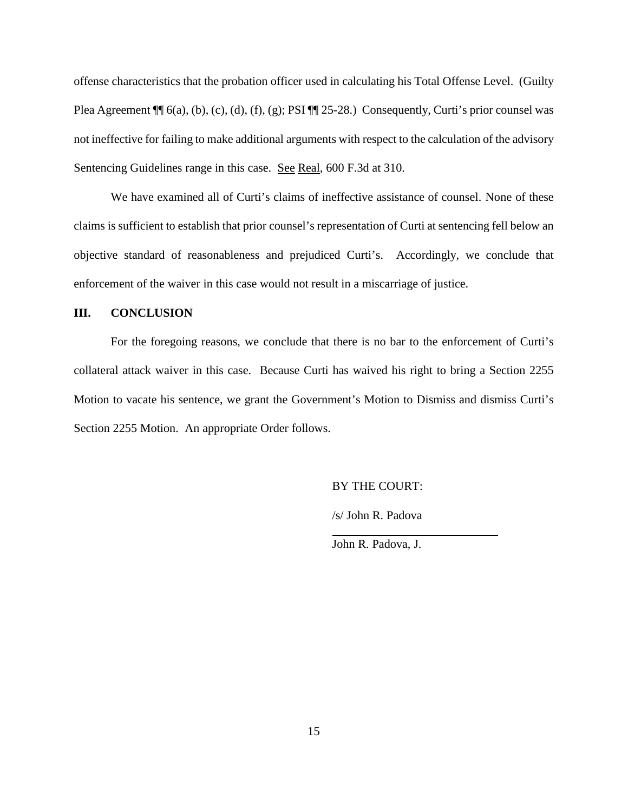offense characteristics that the probation officer used in calculating his Total Offense Level. (Guilty Plea Agreement  $\P$  6(a), (b), (c), (d), (f), (g); PSI  $\P$  25-28.) Consequently, Curti's prior counsel was not ineffective for failing to make additional arguments with respect to the calculation of the advisory Sentencing Guidelines range in this case. See Real, 600 F.3d at 310.

We have examined all of Curti's claims of ineffective assistance of counsel. None of these claims is sufficient to establish that prior counsel's representation of Curti at sentencing fell below an objective standard of reasonableness and prejudiced Curti's. Accordingly, we conclude that enforcement of the waiver in this case would not result in a miscarriage of justice.

# **III. CONCLUSION**

For the foregoing reasons, we conclude that there is no bar to the enforcement of Curti's collateral attack waiver in this case. Because Curti has waived his right to bring a Section 2255 Motion to vacate his sentence, we grant the Government's Motion to Dismiss and dismiss Curti's Section 2255 Motion. An appropriate Order follows.

BY THE COURT:

/s/ John R. Padova

John R. Padova, J.